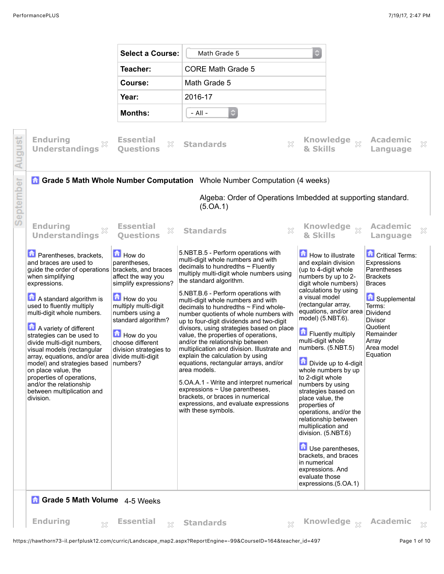

https://hawthorn73-il.perfplusk12.com/curric/Landscape\_map2.aspx?ReportEngine=-99&CourseID=164&teacher\_id=497 Page 1 of 10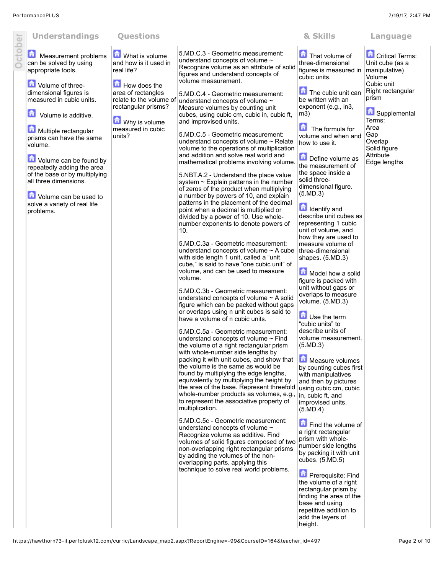

## **Measurement problems** can be solved by using appropriate tools.

**D** Volume of threedimensional figures is measured in cubic units.

**D** Volume is additive.

**Multiple rectangular** prisms can have the same volume.

**D** Volume can be found by repeatedly adding the area of the base or by multiplying all three dimensions.

**D** Volume can be used to solve a variety of real life problems.

**M** What is volume and how is it used in real life?

How does the area of rectangles relate to the volume of rectangular prisms?

units?

**M** Why is volume measured in cubic 5.MD.C.3 - Geometric measurement:

understand concepts of volume ~ Recognize volume as an attribute of solid figures and understand concepts of volume measurement.

5.MD.C.4 - Geometric measurement: understand concepts of volume ~ Measure volumes by counting unit cubes, using cubic cm, cubic in, cubic ft, and improvised units.

5.MD.C.5 - Geometric measurement: understand concepts of volume ~ Relate volume to the operations of multiplication and addition and solve real world and mathematical problems involving volume.

5.NBT.A.2 - Understand the place value system ~ Explain patterns in the number of zeros of the product when multiplying a number by powers of 10, and explain patterns in the placement of the decimal point when a decimal is multiplied or divided by a power of 10. Use wholenumber exponents to denote powers of 10.

5.MD.C.3a - Geometric measurement: understand concepts of volume ~ A cube with side length 1 unit, called a "unit cube," is said to have "one cubic unit" of volume, and can be used to measure volume.

5.MD.C.3b - Geometric measurement: understand concepts of volume ~ A solid figure which can be packed without gaps or overlaps using n unit cubes is said to have a volume of n cubic units.

5.MD.C.5a - Geometric measurement: understand concepts of volume ~ Find the volume of a right rectangular prism with whole-number side lengths by packing it with unit cubes, and show that the volume is the same as would be found by multiplying the edge lengths, equivalently by multiplying the height by the area of the base. Represent threefold whole-number products as volumes, e.g., to represent the associative property of multiplication.

5.MD.C.5c - Geometric measurement: understand concepts of volume ~ Recognize volume as additive. Find volumes of solid figures composed of two non-overlapping right rectangular prisms by adding the volumes of the nonoverlapping parts, applying this technique to solve real world problems.

**Critical Terms:** Unit cube (as a

**Supplemental** 

Volume Cubic unit Right rectangular

prism

Terms: Area Gap **Overlap** Solid figure **Attribute** Edge lengths

That volume of three-dimensional figures is measured in cubic units. manipulative)

The cubic unit can be written with an exponent (e.g., in3, m3)

The formula for volume and when and how to use it.

Define volume as the measurement of the space inside a solid threedimensional figure. (5.MD.3)

Identify and describe unit cubes as representing 1 cubic unit of volume, and how they are used to measure volume of three-dimensional shapes. (5.MD.3)

**Model how a solid** figure is packed with unit without gaps or overlaps to measure volume. (5.MD.3)

Use the term "cubic units" to describe units of volume measurement. (5.MD.3)

**Measure volumes** by counting cubes first with manipulatives and then by pictures using cubic cm, cubic in, cubic ft, and improvised units. (5.MD.4)

Find the volume of a right rectangular prism with wholenumber side lengths by packing it with unit cubes. (5.MD.5)

**Prerequisite: Find** the volume of a right rectangular prism by finding the area of the base and using repetitive addition to add the layers of height.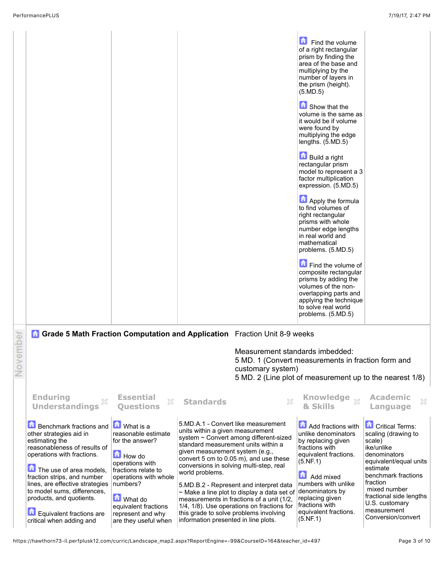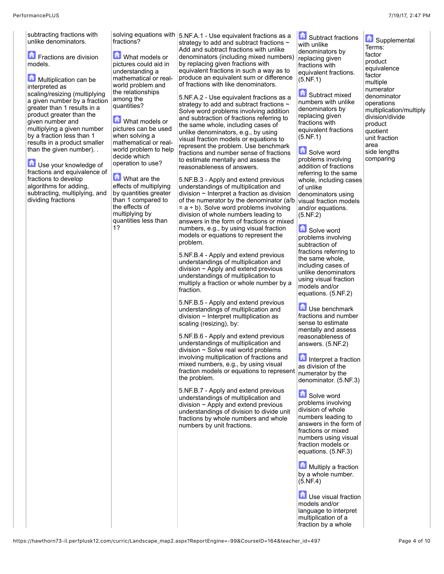**Co** Supplemental

multiplication/multiply division/divide product quotient unit fraction area side lengths comparing

Terms: factor product equivalence factor multiple numerator denominator operations

unlike denominators. **F** Fractions are division models. **Multiplication can be** interpreted as scaling/resizing (multiplying a given number by a fraction greater than 1 results in a product greater than the given number and multiplying a given number by a fraction less than 1 results in a product smaller than the given number). . **D** Use your knowledge of

subtracting fractions with

fractions and equivalence of fractions to develop algorithms for adding, subtracting, multiplying, and dividing fractions

fractions?

**M** What models or pictures could aid in understanding a mathematical or realworld problem and the relationships among the quantities?

What models or pictures can be used when solving a mathematical or realworld problem to help decide which operation to use?

**M** What are the effects of multiplying by quantities greater than 1 compared to the effects of multiplying by quantities less than 1?

solving equations with 5.NF.A.1 - Use equivalent fractions as a strategy to add and subtract fractions  $\sim$ Add and subtract fractions with unlike denominators (including mixed numbers) by replacing given fractions with equivalent fractions in such a way as to produce an equivalent sum or difference of fractions with like denominators.

> 5.NF.A.2 - Use equivalent fractions as a strategy to add and subtract fractions ~ Solve word problems involving addition and subtraction of fractions referring to the same whole, including cases of unlike denominators, e.g., by using visual fraction models or equations to represent the problem. Use benchmark fractions and number sense of fractions to estimate mentally and assess the reasonableness of answers.

5.NF.B.3 - Apply and extend previous understandings of multiplication and division ~ Interpret a fraction as division of the numerator by the denominator (a/b  $= a \div b$ ). Solve word problems involving division of whole numbers leading to answers in the form of fractions or mixed numbers, e.g., by using visual fraction models or equations to represent the problem.

5.NF.B.4 - Apply and extend previous understandings of multiplication and division  $\sim$  Apply and extend previous understandings of multiplication to multiply a fraction or whole number by a fraction.

5.NF.B.5 - Apply and extend previous understandings of multiplication and division ~ Interpret multiplication as scaling (resizing), by:

5.NF.B.6 - Apply and extend previous understandings of multiplication and division ~ Solve real world problems involving multiplication of fractions and mixed numbers, e.g., by using visual fraction models or equations to represent the problem.

5.NF.B.7 - Apply and extend previous understandings of multiplication and division  $\sim$  Apply and extend previous understandings of division to divide unit fractions by whole numbers and whole numbers by unit fractions.

**Conductions** with unlike denominators by replacing given fractions with equivalent fractions. (5.NF.1)

**G** Subtract mixed numbers with unlike denominators by replacing given fractions with equivalent fractions (5.NF.1)

**Solve word** problems involving addition of fractions referring to the same whole, including cases of unlike denominators using visual fraction models and/or equations. (5.NF.2)

**Solve word** problems involving subtraction of fractions referring to the same whole, including cases of unlike denominators using visual fraction models and/or equations. (5.NF.2)

**Use benchmark** fractions and number sense to estimate mentally and assess reasonableness of answers. (5.NF.2)

Interpret a fraction as division of the numerator by the denominator. (5.NF.3)

**Solve word** problems involving division of whole numbers leading to answers in the form of fractions or mixed numbers using visual fraction models or equations. (5.NF.3)

**Multiply a fraction** by a whole number. (5.NF.4)

**Li** Use visual fraction models and/or language to interpret multiplication of a fraction by a whole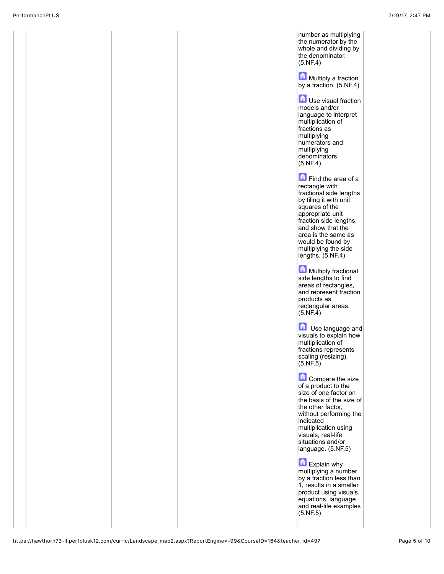number as multiplying the numerator by the whole and dividing by the denominator. (5.NF.4)

**Multiply a fraction** by a fraction. (5.NF.4)

**T** Use visual fraction models and/or language to interpret multiplication of fractions as multiplying numerators and multiplying denominators. (5.NF.4)

Find the area of a rectangle with fractional side lengths by tiling it with unit squares of the appropriate unit fraction side lengths, and show that the area is the same as would be found by multiplying the side lengths. (5.NF.4)

Multiply fractional side lengths to find areas of rectangles, and represent fraction products as rectangular areas.  $(5.NF.4)$ 

**D** Use language and visuals to explain how multiplication of fractions represents scaling (resizing).  $(5.NF.5)$ 

**Compare the size** of a product to the size of one factor on the basis of the size of the other factor, without performing the indicated multiplication using visuals, real-life situations and/or language. (5.NF.5)

Explain why multiplying a number by a fraction less than 1, results in a smaller product using visuals, equations, language and real-life examples (5.NF.5)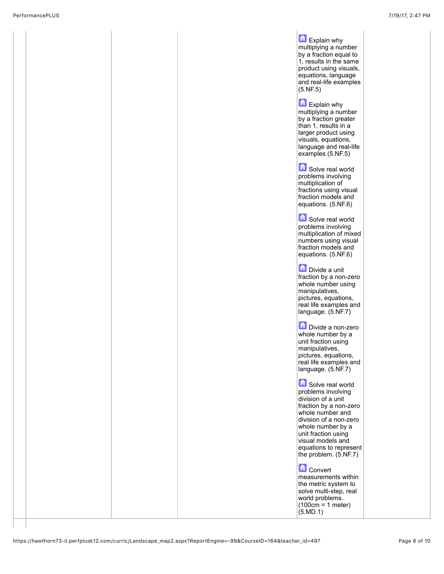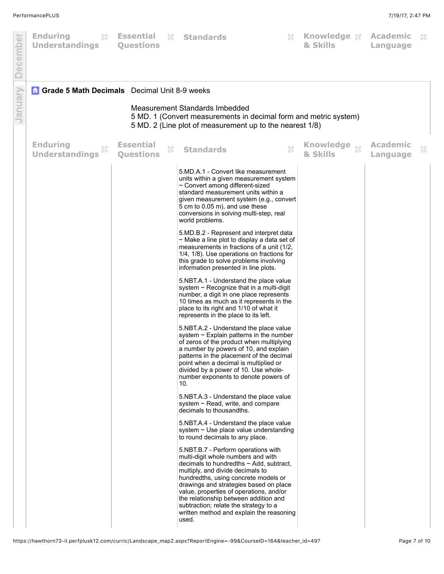| December | <b>Enduring</b><br>$\mathbb{S}^2$<br><b>Understandings</b>                                                                                                                                                            | Essential<br><b>Questions</b>             | <b>&amp; Standards</b>                                                                                                                                                                                                                                                                                                                                                                                                            | X | Knowledge & Academic<br>& Skills | Language                    | X |
|----------|-----------------------------------------------------------------------------------------------------------------------------------------------------------------------------------------------------------------------|-------------------------------------------|-----------------------------------------------------------------------------------------------------------------------------------------------------------------------------------------------------------------------------------------------------------------------------------------------------------------------------------------------------------------------------------------------------------------------------------|---|----------------------------------|-----------------------------|---|
| January  | <b>Grade 5 Math Decimals</b> Decimal Unit 8-9 weeks<br>Measurement Standards Imbedded<br>5 MD. 1 (Convert measurements in decimal form and metric system)<br>5 MD. 2 (Line plot of measurement up to the nearest 1/8) |                                           |                                                                                                                                                                                                                                                                                                                                                                                                                                   |   |                                  |                             |   |
|          | <b>Enduring</b><br><b>Understandings</b>                                                                                                                                                                              | <b>Essential</b><br>X<br><b>Questions</b> | <b>Standards</b>                                                                                                                                                                                                                                                                                                                                                                                                                  | X | Knowledge xx<br>& Skills         | <b>Academic</b><br>Language | × |
|          |                                                                                                                                                                                                                       |                                           | 5.MD.A.1 - Convert like measurement<br>units within a given measurement system<br>~ Convert among different-sized<br>standard measurement units within a<br>given measurement system (e.g., convert<br>5 cm to 0.05 m), and use these<br>conversions in solving multi-step, real<br>world problems.                                                                                                                               |   |                                  |                             |   |
|          |                                                                                                                                                                                                                       |                                           | 5.MD.B.2 - Represent and interpret data<br>$\sim$ Make a line plot to display a data set of<br>measurements in fractions of a unit (1/2,<br>1/4, 1/8). Use operations on fractions for<br>this grade to solve problems involving<br>information presented in line plots.                                                                                                                                                          |   |                                  |                             |   |
|          |                                                                                                                                                                                                                       |                                           | 5.NBT.A.1 - Understand the place value<br>system $\sim$ Recognize that in a multi-digit<br>number, a digit in one place represents<br>10 times as much as it represents in the<br>place to its right and 1/10 of what it<br>represents in the place to its left.                                                                                                                                                                  |   |                                  |                             |   |
|          |                                                                                                                                                                                                                       |                                           | 5.NBT.A.2 - Understand the place value<br>system $\sim$ Explain patterns in the number<br>of zeros of the product when multiplying<br>a number by powers of 10, and explain<br>patterns in the placement of the decimal<br>point when a decimal is multiplied or<br>divided by a power of 10. Use whole-<br>number exponents to denote powers of<br>10.                                                                           |   |                                  |                             |   |
|          |                                                                                                                                                                                                                       |                                           | 5.NBT.A.3 - Understand the place value<br>system $\sim$ Read, write, and compare<br>decimals to thousandths.                                                                                                                                                                                                                                                                                                                      |   |                                  |                             |   |
|          |                                                                                                                                                                                                                       |                                           | 5.NBT.A.4 - Understand the place value<br>system $\sim$ Use place value understanding<br>to round decimals to any place.                                                                                                                                                                                                                                                                                                          |   |                                  |                             |   |
|          |                                                                                                                                                                                                                       |                                           | 5.NBT.B.7 - Perform operations with<br>multi-digit whole numbers and with<br>decimals to hundredths $\sim$ Add, subtract,<br>multiply, and divide decimals to<br>hundredths, using concrete models or<br>drawings and strategies based on place<br>value, properties of operations, and/or<br>the relationship between addition and<br>subtraction; relate the strategy to a<br>written method and explain the reasoning<br>used. |   |                                  |                             |   |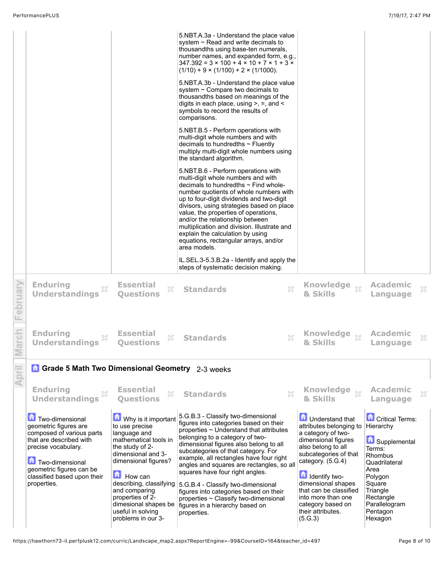https://hawthorn73-il.perfplusk12.com/curric/Landscape\_map2.aspx?ReportEngine=-99&CourseID=164&teacher\_id=497 Page 8 of 10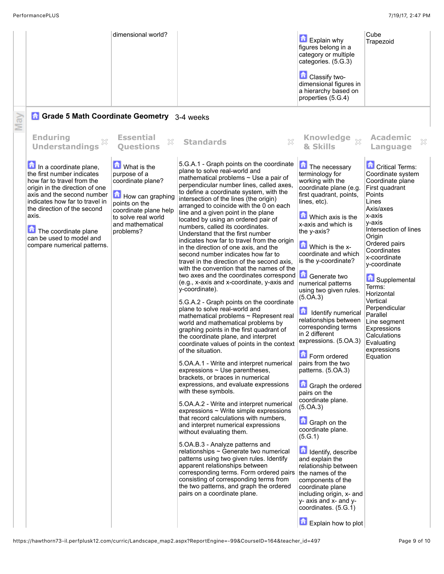|     |                                                                                                                                                                                                                                                                                                                 | dimensional world?                                                                                                                                                     |                                                                                                                                                                                                                                                                                                                                                                                                                                                                                                                                                                                                                                                                                                                                                                                                                                                                                                                                                                                                                                                                                                                                                                                                                                                                                                                                                                                                                                                                                                                                                                                                                                                                                                                                                                                                                                                 | <b>Explain why</b><br>figures belong in a<br>category or multiple<br>categories. (5.G.3)<br>Classify two-<br>dimensional figures in<br>a hierarchy based on<br>properties (5.G.4)                                                                                                                                                                                                                                                                                                                                                                                                                                                                                                                                                                                                                                                                                                           | Cube<br>Trapezoid                                                                                                                                                                                                                                                                                                                                                                                                 |
|-----|-----------------------------------------------------------------------------------------------------------------------------------------------------------------------------------------------------------------------------------------------------------------------------------------------------------------|------------------------------------------------------------------------------------------------------------------------------------------------------------------------|-------------------------------------------------------------------------------------------------------------------------------------------------------------------------------------------------------------------------------------------------------------------------------------------------------------------------------------------------------------------------------------------------------------------------------------------------------------------------------------------------------------------------------------------------------------------------------------------------------------------------------------------------------------------------------------------------------------------------------------------------------------------------------------------------------------------------------------------------------------------------------------------------------------------------------------------------------------------------------------------------------------------------------------------------------------------------------------------------------------------------------------------------------------------------------------------------------------------------------------------------------------------------------------------------------------------------------------------------------------------------------------------------------------------------------------------------------------------------------------------------------------------------------------------------------------------------------------------------------------------------------------------------------------------------------------------------------------------------------------------------------------------------------------------------------------------------------------------------|---------------------------------------------------------------------------------------------------------------------------------------------------------------------------------------------------------------------------------------------------------------------------------------------------------------------------------------------------------------------------------------------------------------------------------------------------------------------------------------------------------------------------------------------------------------------------------------------------------------------------------------------------------------------------------------------------------------------------------------------------------------------------------------------------------------------------------------------------------------------------------------------|-------------------------------------------------------------------------------------------------------------------------------------------------------------------------------------------------------------------------------------------------------------------------------------------------------------------------------------------------------------------------------------------------------------------|
| May | <b>Grade 5 Math Coordinate Geometry</b> 3-4 weeks                                                                                                                                                                                                                                                               |                                                                                                                                                                        |                                                                                                                                                                                                                                                                                                                                                                                                                                                                                                                                                                                                                                                                                                                                                                                                                                                                                                                                                                                                                                                                                                                                                                                                                                                                                                                                                                                                                                                                                                                                                                                                                                                                                                                                                                                                                                                 |                                                                                                                                                                                                                                                                                                                                                                                                                                                                                                                                                                                                                                                                                                                                                                                                                                                                                             |                                                                                                                                                                                                                                                                                                                                                                                                                   |
|     | <b>Enduring</b><br>X<br><b>Understandings</b>                                                                                                                                                                                                                                                                   | <b>Essential</b><br>X<br><b>Ouestions</b>                                                                                                                              | ×<br><b>Standards</b>                                                                                                                                                                                                                                                                                                                                                                                                                                                                                                                                                                                                                                                                                                                                                                                                                                                                                                                                                                                                                                                                                                                                                                                                                                                                                                                                                                                                                                                                                                                                                                                                                                                                                                                                                                                                                           | Knowledge xx<br>& Skills                                                                                                                                                                                                                                                                                                                                                                                                                                                                                                                                                                                                                                                                                                                                                                                                                                                                    | <b>Academic</b><br>×<br>Language                                                                                                                                                                                                                                                                                                                                                                                  |
|     | In a coordinate plane,<br>the first number indicates<br>how far to travel from the<br>origin in the direction of one<br>axis and the second number<br>indicates how far to travel in<br>the direction of the second<br>axis.<br>The coordinate plane<br>can be used to model and<br>compare numerical patterns. | What is the<br>purpose of a<br>coordinate plane?<br>How can graphing<br>points on the<br>coordinate plane help<br>to solve real world<br>and mathematical<br>problems? | 5.G.A.1 - Graph points on the coordinate<br>plane to solve real-world and<br>mathematical problems $\sim$ Use a pair of<br>perpendicular number lines, called axes,<br>to define a coordinate system, with the<br>intersection of the lines (the origin)<br>arranged to coincide with the 0 on each<br>line and a given point in the plane<br>located by using an ordered pair of<br>numbers, called its coordinates.<br>Understand that the first number<br>indicates how far to travel from the origin<br>in the direction of one axis, and the<br>second number indicates how far to<br>travel in the direction of the second axis.<br>with the convention that the names of the<br>two axes and the coordinates correspond<br>(e.g., x-axis and x-coordinate, y-axis and<br>y-coordinate).<br>5.G.A.2 - Graph points on the coordinate<br>plane to solve real-world and<br>mathematical problems ~ Represent real<br>world and mathematical problems by<br>graphing points in the first quadrant of<br>the coordinate plane, and interpret<br>coordinate values of points in the context<br>of the situation.<br>5. OA.A.1 - Write and interpret numerical<br>expressions $\sim$ Use parentheses,<br>brackets, or braces in numerical<br>expressions, and evaluate expressions<br>with these symbols.<br>5. OA. A. 2 - Write and interpret numerical<br>expressions $\sim$ Write simple expressions<br>that record calculations with numbers,<br>and interpret numerical expressions<br>without evaluating them.<br>5.OA.B.3 - Analyze patterns and<br>relationships ~ Generate two numerical<br>patterns using two given rules. Identify<br>apparent relationships between<br>corresponding terms. Form ordered pairs<br>consisting of corresponding terms from<br>the two patterns, and graph the ordered<br>pairs on a coordinate plane. | The necessary<br>terminology for<br>working with the<br>coordinate plane (e.g.<br>first quadrant, points,<br>lines, etc).<br>Which axis is the<br>x-axis and which is<br>the y-axis?<br>Which is the x-<br>coordinate and which<br>is the y-coordinate?<br>Generate two<br>numerical patterns<br>using two given rules.<br>(5.0A.3)<br>命<br>Identify numerical<br>relationships between<br>corresponding terms<br>in 2 different<br>expressions. (5.OA.3)<br>Form ordered<br>pairs from the two<br>patterns. (5.OA.3)<br>Graph the ordered<br>pairs on the<br>coordinate plane.<br>(5.0A.3)<br><b>Graph</b> on the<br>coordinate plane.<br>(5.G.1)<br>Identify, describe<br>and explain the<br>relationship between<br>the names of the<br>components of the<br>coordinate plane<br>including origin, x- and<br>y- axis and x- and y-<br>coordinates. (5.G.1)<br><b>Explain how to plot</b> | <b>Critical Terms:</b><br>Coordinate system<br>Coordinate plane<br>First quadrant<br>Points<br>Lines<br>Axis/axes<br>x-axis<br>v-axis<br>Intersection of lines<br>Origin<br>Ordered pairs<br>Coordinates<br>x-coordinate<br>y-coordinate<br>Supplemental<br>Terms:<br>Horizontal<br>Vertical<br>Perpendicular<br>Parallel<br>Line segment<br>Expressions<br>Calculations<br>Evaluating<br>expressions<br>Equation |